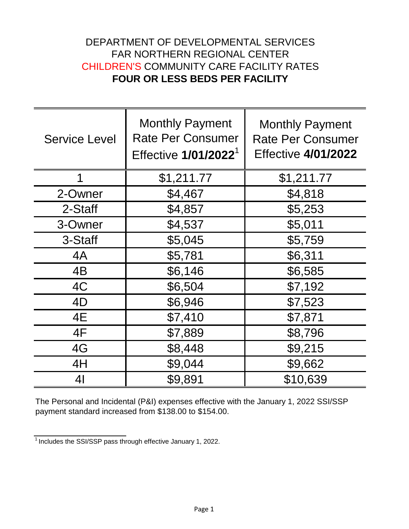## DEPARTMENT OF DEVELOPMENTAL SERVICES FAR NORTHERN REGIONAL CENTER CHILDREN'S COMMUNITY CARE FACILITY RATES **FOUR OR LESS BEDS PER FACILITY**

| <b>Service Level</b> | <b>Monthly Payment</b><br><b>Rate Per Consumer</b><br>Effective 1/01/2022 <sup>1</sup> | <b>Monthly Payment</b><br><b>Rate Per Consumer</b><br><b>Effective 4/01/2022</b> |
|----------------------|----------------------------------------------------------------------------------------|----------------------------------------------------------------------------------|
|                      | \$1,211.77                                                                             | \$1,211.77                                                                       |
| 2-Owner              | \$4,467                                                                                | \$4,818                                                                          |
| 2-Staff              | \$4,857                                                                                | \$5,253                                                                          |
| 3-Owner              | \$4,537                                                                                | \$5,011                                                                          |
| 3-Staff              | \$5,045                                                                                | \$5,759                                                                          |
| 4A                   | \$5,781                                                                                | \$6,311                                                                          |
| 4B                   | \$6,146                                                                                | \$6,585                                                                          |
| 4C                   | \$6,504                                                                                | \$7,192                                                                          |
| 4D                   | \$6,946                                                                                | \$7,523                                                                          |
| 4E                   | \$7,410                                                                                | \$7,871                                                                          |
| 4F                   | \$7,889                                                                                | \$8,796                                                                          |
| 4G                   | \$8,448                                                                                | \$9,215                                                                          |
| 4H                   | \$9,044                                                                                | \$9,662                                                                          |
| 4 <sub>l</sub>       | \$9,891                                                                                | \$10,639                                                                         |

The Personal and Incidental (P&I) expenses effective with the January 1, 2022 SSI/SSP payment standard increased from \$138.00 to \$154.00.

 $\frac{1}{1}$ Includes the SSI/SSP pass through effective January 1, 2022.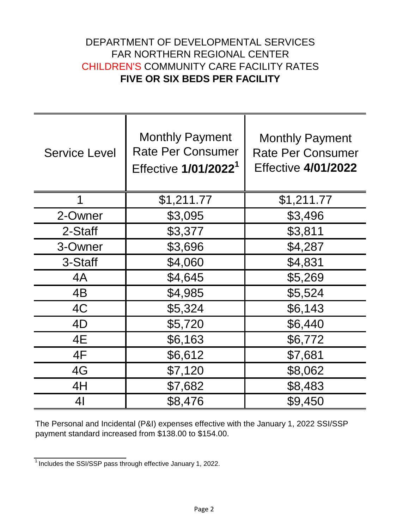## DEPARTMENT OF DEVELOPMENTAL SERVICES FAR NORTHERN REGIONAL CENTER CHILDREN'S COMMUNITY CARE FACILITY RATES **FIVE OR SIX BEDS PER FACILITY**

| <b>Service Level</b> | <b>Monthly Payment</b><br><b>Rate Per Consumer</b><br>Effective 1/01/2022 <sup>1</sup> | <b>Monthly Payment</b><br><b>Rate Per Consumer</b><br><b>Effective 4/01/2022</b> |
|----------------------|----------------------------------------------------------------------------------------|----------------------------------------------------------------------------------|
| 1                    | \$1,211.77                                                                             | \$1,211.77                                                                       |
| 2-Owner              | \$3,095                                                                                | \$3,496                                                                          |
| 2-Staff              | \$3,377                                                                                | \$3,811                                                                          |
| 3-Owner              | \$3,696                                                                                | \$4,287                                                                          |
| 3-Staff              | \$4,060                                                                                | \$4,831                                                                          |
| 4A                   | \$4,645                                                                                | \$5,269                                                                          |
| 4B                   | \$4,985                                                                                | \$5,524                                                                          |
| 4C                   | \$5,324                                                                                | \$6,143                                                                          |
| 4D                   | \$5,720                                                                                | \$6,440                                                                          |
| 4E                   | \$6,163                                                                                | \$6,772                                                                          |
| 4F                   | \$6,612                                                                                | \$7,681                                                                          |
| 4G                   | \$7,120                                                                                | \$8,062                                                                          |
| 4H                   | \$7,682                                                                                | \$8,483                                                                          |
| 41                   | \$8,476                                                                                | \$9,450                                                                          |

The Personal and Incidental (P&I) expenses effective with the January 1, 2022 SSI/SSP payment standard increased from \$138.00 to \$154.00.

 $\frac{1}{1}$  Includes the SSI/SSP pass through effective January 1, 2022.